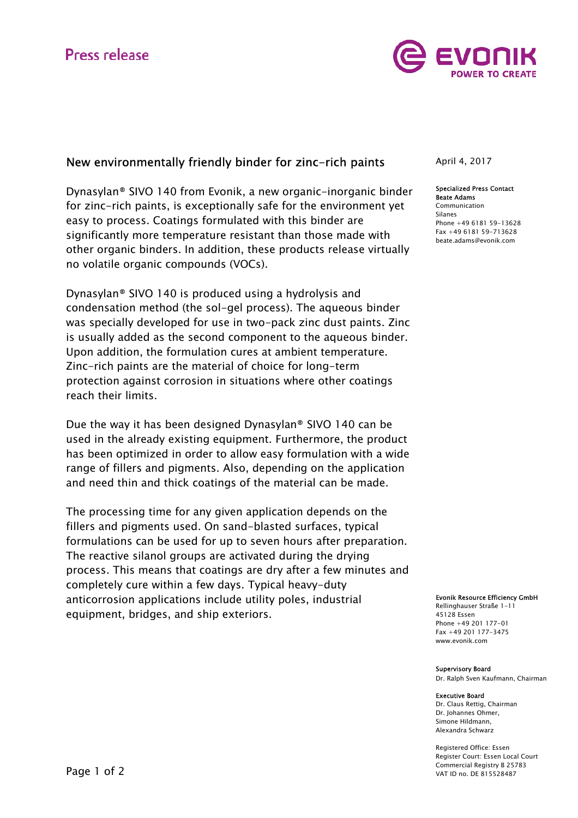

# New environmentally friendly binder for zinc-rich paints

Dynasylan® SIVO 140 from Evonik, a new organic-inorganic binder for zinc-rich paints, is exceptionally safe for the environment yet easy to process. Coatings formulated with this binder are significantly more temperature resistant than those made with other organic binders. In addition, these products release virtually no volatile organic compounds (VOCs).

Dynasylan® SIVO 140 is produced using a hydrolysis and condensation method (the sol-gel process). The aqueous binder was specially developed for use in two-pack zinc dust paints. Zinc is usually added as the second component to the aqueous binder. Upon addition, the formulation cures at ambient temperature. Zinc-rich paints are the material of choice for long-term protection against corrosion in situations where other coatings reach their limits.

Due the way it has been designed Dynasylan® SIVO 140 can be used in the already existing equipment. Furthermore, the product has been optimized in order to allow easy formulation with a wide range of fillers and pigments. Also, depending on the application and need thin and thick coatings of the material can be made.

The processing time for any given application depends on the fillers and pigments used. On sand-blasted surfaces, typical formulations can be used for up to seven hours after preparation. The reactive silanol groups are activated during the drying process. This means that coatings are dry after a few minutes and completely cure within a few days. Typical heavy-duty anticorrosion applications include utility poles, industrial equipment, bridges, and ship exteriors.

April 4, 2017

### Specialized Press Contact Beate Adams

Communication Silanes Phone +49 6181 59-13628 Fax +49 6181 59-713628 beate.adams@evonik.com

Evonik Resource Efficiency GmbH

Rellinghauser Straße 1-11 45128 Essen Phone +49 201 177-01 Fax +49 201 177-3475 www.evonik.com

#### Supervisory Board

Dr. Ralph Sven Kaufmann, Chairman

#### Executive Board

Dr. Claus Rettig, Chairman Dr. Johannes Ohmer, Simone Hildmann, Alexandra Schwarz

Registered Office: Essen Register Court: Essen Local Court Commercial Registry B 25783 VAT ID no. DE 815528487